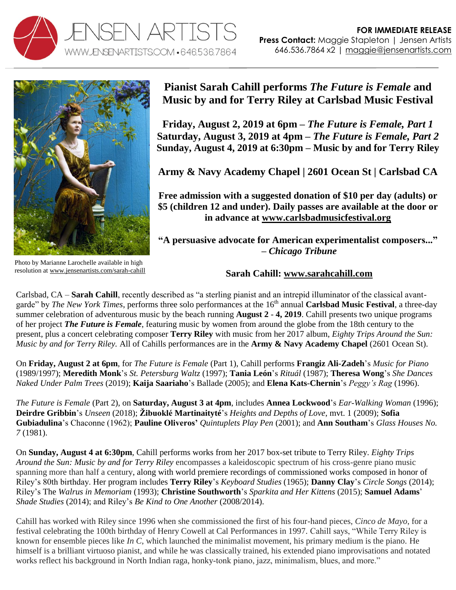



**Pianist Sarah Cahill performs** *The Future is Female* **and Music by and for Terry Riley at Carlsbad Music Festival** 

**Friday, August 2, 2019 at 6pm –** *The Future is Female, Part 1* **Saturday, August 3, 2019 at 4pm –** *The Future is Female, Part 2* **Sunday, August 4, 2019 at 6:30pm – Music by and for Terry Riley**

**Army & Navy Academy Chapel | 2601 Ocean St | Carlsbad CA**

**Free admission with a suggested donation of \$10 per day (adults) or \$5 (children 12 and under). Daily passes are available at the door or in advance at [www.carlsbadmusicfestival.org](http://www.carlsbadmusicfestival.org/)**

**"A persuasive advocate for American experimentalist composers..." –** *Chicago Tribune*

## **Sarah Cahill: [www.sarahcahill.com](http://www.sarahcahill.com/)**

Carlsbad, CA – **Sarah Cahill**, recently described as "a sterling pianist and an intrepid illuminator of the classical avantgarde" by *The New York Times*, performs three solo performances at the 16<sup>th</sup> annual **Carlsbad Music Festival**, a three-day summer celebration of adventurous music by the beach running **August 2** - **4, 2019**. Cahill presents two unique programs of her project *The Future is Female*, featuring music by women from around the globe from the 18th century to the present, plus a concert celebrating composer **Terry Riley** with music from her 2017 album, *Eighty Trips Around the Sun: Music by and for Terry Riley.* All of Cahills performances are in the **Army & Navy Academy Chapel** (2601 Ocean St).

On **Friday, August 2 at 6pm**, for *The Future is Female* (Part 1), Cahill performs **Frangiz Ali-Zadeh**'s *Music for Piano* (1989/1997); **Meredith Monk**'s *St. Petersburg Waltz* (1997); **Tania León**'s *Rituál* (1987); **Theresa Wong**'s *She Dances Naked Under Palm Trees* (2019); **Kaija Saariaho**'s Ballade (2005); and **Elena Kats**-**Chernin**'s *Peggy's Rag* (1996).

*The Future is Female* (Part 2), on **Saturday, August 3 at 4pm**, includes **Annea Lockwood**'s *Ear-Walking Woman* (1996); **Deirdre Gribbin**'s *Unseen* (2018); **Žibuoklé Martinaityté**'s *Heights and Depths of Love*, mvt. 1 (2009); **Sofia Gubiadulina**'s Chaconne (1962); **Pauline Oliveros'** *Quintuplets Play Pen* (2001); and **Ann Southam**'s *Glass Houses No. 7* (1981).

On **Sunday, August 4 at 6:30pm**, Cahill performs works from her 2017 box-set tribute to Terry Riley. *Eighty Trips Around the Sun: Music by and for Terry Riley* encompasses a kaleidoscopic spectrum of his cross-genre piano music spanning more than half a century, along with world premiere recordings of commissioned works composed in honor of Riley's 80th birthday. Her program includes **Terry Riley**'s *Keyboard Studies* (1965); **Danny Clay**'s *Circle Songs* (2014); Riley's The *Walrus in Memoriam* (1993); **Christine Southworth**'s *Sparkita and Her Kittens* (2015); **Samuel Adams**' *Shade Studies* (2014); and Riley's *Be Kind to One Another* (2008/2014).

Cahill has worked with Riley since 1996 when she commissioned the first of his four-hand pieces, *Cinco de Mayo*, for a festival celebrating the 100th birthday of Henry Cowell at Cal Performances in 1997. Cahill says, "While Terry Riley is known for ensemble pieces like *In C*, which launched the minimalist movement, his primary medium is the piano. He himself is a brilliant virtuoso pianist, and while he was classically trained, his extended piano improvisations and notated works reflect his background in North Indian raga, honky-tonk piano, jazz, minimalism, blues, and more."

Photo by Marianne Larochelle available in high resolution a[t www.jensenartists.com/sarah-cahill](http://www.jensenartists.com/sarah-cahill)